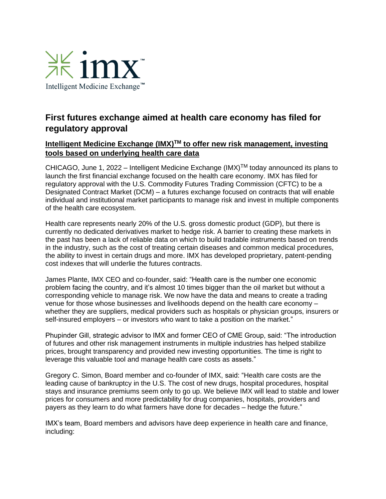

## **First futures exchange aimed at health care economy has filed for regulatory approval**

## **Intelligent Medicine Exchange (IMX)TM to offer new risk management, investing tools based on underlying health care data**

CHICAGO, June 1, 2022 – Intelligent Medicine Exchange  $(IMX)^{TM}$  today announced its plans to launch the first financial exchange focused on the health care economy. IMX has filed for regulatory approval with the U.S. Commodity Futures Trading Commission (CFTC) to be a Designated Contract Market (DCM) – a futures exchange focused on contracts that will enable individual and institutional market participants to manage risk and invest in multiple components of the health care ecosystem.

Health care represents nearly 20% of the U.S. gross domestic product (GDP), but there is currently no dedicated derivatives market to hedge risk. A barrier to creating these markets in the past has been a lack of reliable data on which to build tradable instruments based on trends in the industry, such as the cost of treating certain diseases and common medical procedures, the ability to invest in certain drugs and more. IMX has developed proprietary, patent-pending cost indexes that will underlie the futures contracts.

James Plante, IMX CEO and co-founder, said: "Health care is the number one economic problem facing the country, and it's almost 10 times bigger than the oil market but without a corresponding vehicle to manage risk. We now have the data and means to create a trading venue for those whose businesses and livelihoods depend on the health care economy – whether they are suppliers, medical providers such as hospitals or physician groups, insurers or self-insured employers – or investors who want to take a position on the market."

Phupinder Gill, strategic advisor to IMX and former CEO of CME Group, said: "The introduction of futures and other risk management instruments in multiple industries has helped stabilize prices, brought transparency and provided new investing opportunities. The time is right to leverage this valuable tool and manage health care costs as assets."

Gregory C. Simon, Board member and co-founder of IMX, said: "Health care costs are the leading cause of bankruptcy in the U.S. The cost of new drugs, hospital procedures, hospital stays and insurance premiums seem only to go up. We believe IMX will lead to stable and lower prices for consumers and more predictability for drug companies, hospitals, providers and payers as they learn to do what farmers have done for decades – hedge the future."

IMX's team, Board members and advisors have deep experience in health care and finance, including: